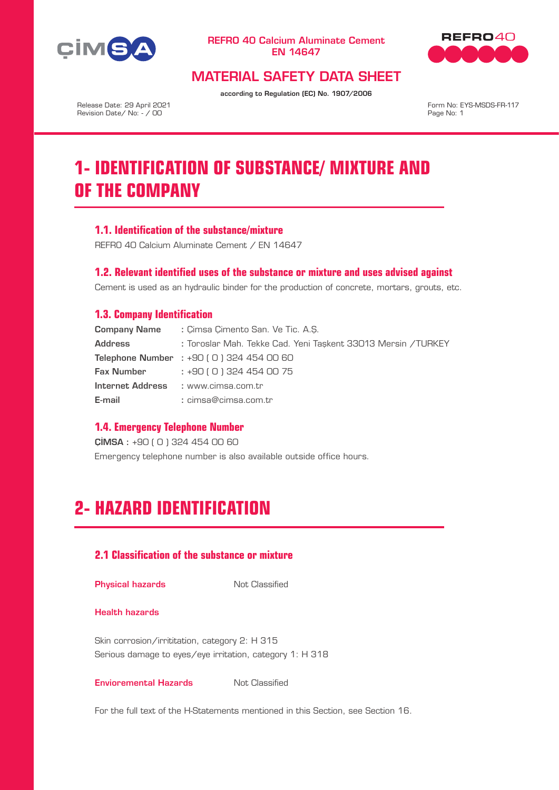



# MATERIAL SAFETY DATA SHEET

according to Regulation (EC) No. 1907/2006

Release Date: 29 April 2021 Revision Date/ No: - / 00

Form No: EYS-MSDS-FR-117 Page No: 1

# **1- IDENTIFICATION OF SUBSTANCE/ MIXTURE AND OF THE COMPANY**

## **1.1. Identification of the substance/mixture**

REFRO 40 Calcium Aluminate Cement / EN 14647

## **1.2. Relevant identified uses of the substance or mixture and uses advised against**

Cement is used as an hydraulic binder for the production of concrete, mortars, grouts, etc.

## **1.3. Company Identification**

| <b>Company Name</b> | : Cimsa Cimento San, Ve Tic, A.S.                             |  |  |  |  |
|---------------------|---------------------------------------------------------------|--|--|--|--|
| <b>Address</b>      | : Toroslar Mah. Tekke Cad. Yeni Taskent 33013 Mersin / TURKEY |  |  |  |  |
|                     | <b>Telephone Number</b> : $+90$ (0) 324 454 00 60             |  |  |  |  |
| Fax Number          | : +90 ( 0 ) 324 454 00 75                                     |  |  |  |  |
|                     | Internet Address : www.cimsa.com.tr                           |  |  |  |  |
| E-mail              | : cimsa@cimsa.com.tr                                          |  |  |  |  |

## **1.4. Emergency Telephone Number**

ÇİMSA : +90 ( 0 ) 324 454 00 60

Emergency telephone number is also available outside office hours.

# **2- HAZARD IDENTIFICATION**

# **2.1 Classification of the substance or mixture**

#### **Physical hazards** Not Classified

#### Health hazards

Skin corrosion/irrititation, category 2: H 315 Serious damage to eyes/eye irritation, category 1: H 318

#### **Envioremental Hazards** Not Classified

For the full text of the H-Statements mentioned in this Section, see Section 16.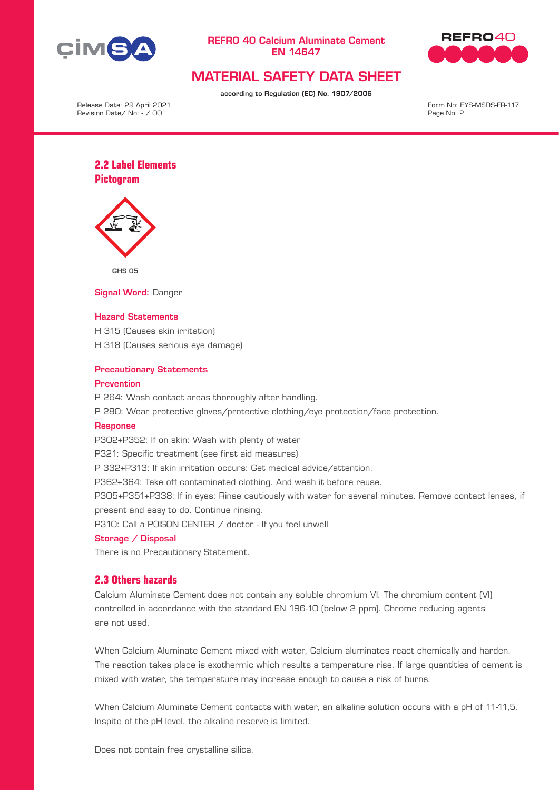



# MATERIAL SAFETY DATA SHEET

according to Regulation (EC) No. 1907/2006

Release Date: 29 April 2021 Revision Date/ No: - / 00

Form No: EYS-MSDS-FR-117 Page No: 2

# **2.2 Label Elements Pictogram**



GHS 05

Signal Word: Danger

#### Hazard Statements

H 315 (Causes skin irritation) H 318 (Causes serious eye damage)

#### Precautionary Statements

#### **Prevention**

P 264: Wash contact areas thoroughly after handling.

P 280: Wear protective gloves/protective clothing/eye protection/face protection.

#### Response

P302+P352: If on skin: Wash with plenty of water

P321: Specific treatment (see first aid measures)

P 332+P313: If skin irritation occurs: Get medical advice/attention.

P362+364: Take off contaminated clothing. And wash it before reuse.

P305+P351+P338: If in eyes: Rinse cautiously with water for several minutes. Remove contact lenses, if present and easy to do. Continue rinsing.

P310: Call a P0ISON CENTER / doctor - If you feel unwell

#### Storage / Disposal

There is no Precautionary Statement.

### **2.3 Others hazards**

Calcium Aluminate Cement does not contain any soluble chromium VI. The chromium content (VI) controlled in accordance with the standard EN 196-10 (below 2 ppm). Chrome reducing agents are not used.

When Calcium Aluminate Cement mixed with water, Calcium aluminates react chemically and harden. The reaction takes place is exothermic which results a temperature rise. If large quantities of cement is mixed with water, the temperature may increase enough to cause a risk of burns.

When Calcium Aluminate Cement contacts with water, an alkaline solution occurs with a pH of 11-11,5. Inspite of the pH level, the alkaline reserve is limited.

Does not contain free crystalline silica.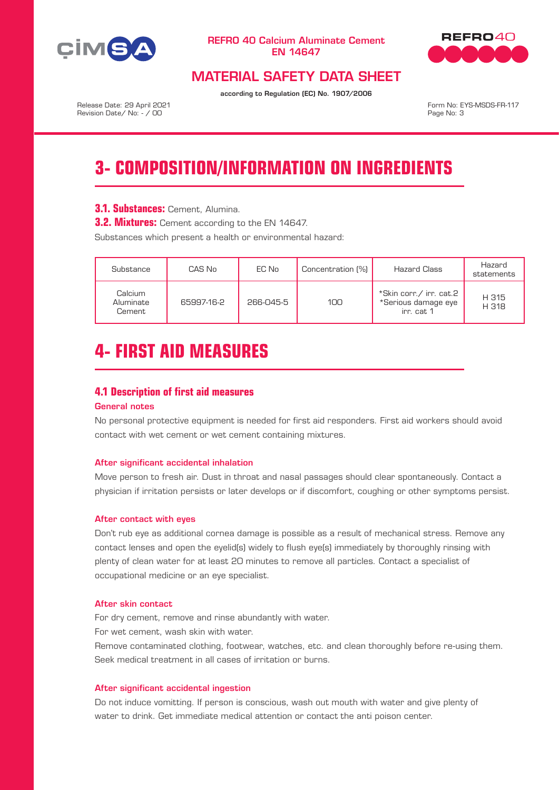



# MATERIAL SAFETY DATA SHEET

according to Regulation (EC) No. 1907/2006

Release Date: 29 April 2021 Revision Date/ No: - / 00

Form No: EYS-MSDS-FR-117 Page No: 3

# **3- COMPOSITION/INFORMATION ON INGREDIENTS**

# **3.1. Substances:** Cement, Alumina.

**3.2. Mixtures:** Cement according to the EN 14647.

Substances which present a health or environmental hazard:

| Substance                      | CAS No     | EC No     | Concentration (%) | <b>Hazard Class</b>                                          | Hazard<br>statements |
|--------------------------------|------------|-----------|-------------------|--------------------------------------------------------------|----------------------|
| Calcium<br>Aluminate<br>Cement | 65997-16-2 | 266-045-5 | 100               | *Skin corr./ irr. cat.2<br>*Serious damage eye<br>irr. cat 1 | H 315<br>H 318       |

# **4- FIRST AID MEASURES**

### **4.1 Description of first aid measures**

## General notes

No personal protective equipment is needed for first aid responders. First aid workers should avoid contact with wet cement or wet cement containing mixtures.

#### After significant accidental inhalation

Move person to fresh air. Dust in throat and nasal passages should clear spontaneously. Contact a physician if irritation persists or later develops or if discomfort, coughing or other symptoms persist.

#### After contact with eyes

Don't rub eye as additional cornea damage is possible as a result of mechanical stress. Remove any contact lenses and open the eyelid(s) widely to flush eye(s) immediately by thoroughly rinsing with plenty of clean water for at least 20 minutes to remove all particles. Contact a specialist of occupational medicine or an eye specialist.

#### After skin contact

For dry cement, remove and rinse abundantly with water. For wet cement, wash skin with water.

Remove contaminated clothing, footwear, watches, etc. and clean thoroughly before re-using them. Seek medical treatment in all cases of irritation or burns.

#### After significant accidental ingestion

Do not induce vomitting. If person is conscious, wash out mouth with water and give plenty of water to drink. Get immediate medical attention or contact the anti poison center.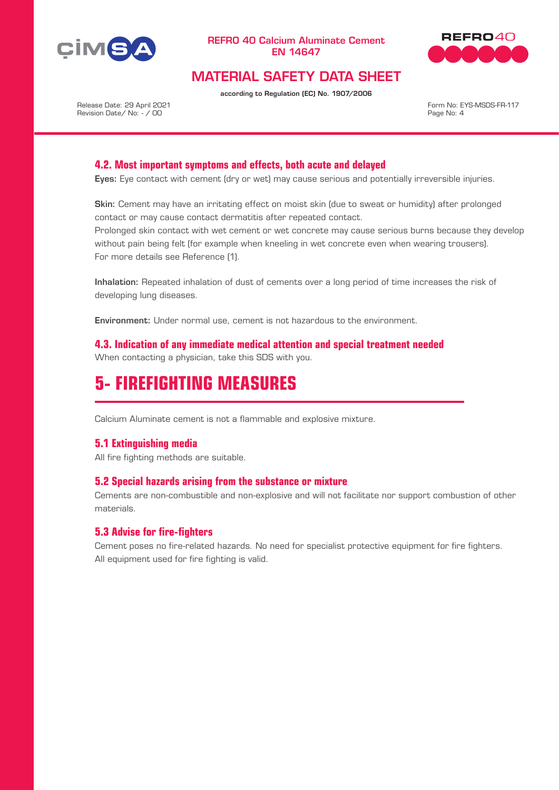



# MATERIAL SAFETY DATA SHEET

according to Regulation (EC) No. 1907/2006

Release Date: 29 April 2021 Revision Date/ No: - / 00

Form No: EYS-MSDS-FR-117 Page No: 4

## **4.2. Most important symptoms and effects, both acute and delayed**

Eyes: Eye contact with cement (dry or wet) may cause serious and potentially irreversible injuries.

Skin: Cement may have an irritating effect on moist skin (due to sweat or humidity) after prolonged contact or may cause contact dermatitis after repeated contact.

Prolonged skin contact with wet cement or wet concrete may cause serious burns because they develop without pain being felt (for example when kneeling in wet concrete even when wearing trousers). For more details see Reference (1).

Inhalation: Repeated inhalation of dust of cements over a long period of time increases the risk of developing lung diseases.

Environment: Under normal use, cement is not hazardous to the environment.

**4.3. Indication of any immediate medical attention and special treatment needed** When contacting a physician, take this SDS with you.

# **5- FIREFIGHTING MEASURES**

Calcium Aluminate cement is not a flammable and explosive mixture.

### **5.1 Extinguishing media**

All fire fighting methods are suitable.

### **5.2 Special hazards arising from the substance or mixture**

Cements are non-combustible and non-explosive and will not facilitate nor support combustion of other materials.

### **5.3 Advise for fire-fighters**

Cement poses no fire-related hazards. No need for specialist protective equipment for fire fighters. All equipment used for fire fighting is valid.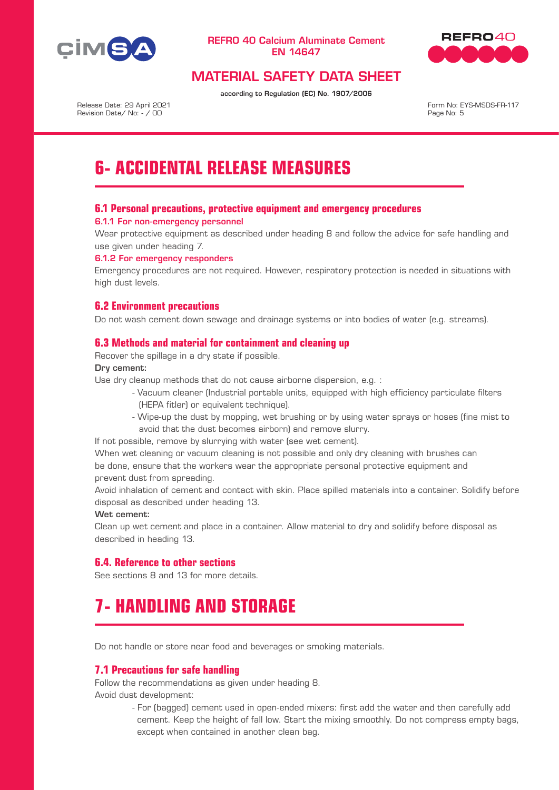



# MATERIAL SAFETY DATA SHEET

according to Regulation (EC) No. 1907/2006

Release Date: 29 April 2021 Revision Date/ No: - / 00

Form No: EYS-MSDS-FR-117 Page No: 5

# **6- ACCIDENTAL RELEASE MEASURES**

## **6.1 Personal precautions, protective equipment and emergency procedures**

#### 6.1.1 For non-emergency personnel

Wear protective equipment as described under heading 8 and follow the advice for safe handling and use given under heading 7.

#### 6.1.2 For emergency responders

Emergency procedures are not required. However, respiratory protection is needed in situations with high dust levels.

## **6.2 Environment precautions**

Do not wash cement down sewage and drainage systems or into bodies of water (e.g. streams).

### **6.3 Methods and material for containment and cleaning up**

Recover the spillage in a dry state if possible.

#### Dry cement:

Use dry cleanup methods that do not cause airborne dispersion, e.g. :

- Vacuum cleaner (Industrial portable units, equipped with high efficiency particulate filters (HEPA fitler) or equivalent technique).
- Wipe-up the dust by mopping, wet brushing or by using water sprays or hoses (fine mist to avoid that the dust becomes airborn) and remove slurry.

If not possible, remove by slurrying with water (see wet cement).

When wet cleaning or vacuum cleaning is not possible and only dry cleaning with brushes can be done, ensure that the workers wear the appropriate personal protective equipment and prevent dust from spreading.

Avoid inhalation of cement and contact with skin. Place spilled materials into a container. Solidify before disposal as described under heading 13.

#### Wet cement:

Clean up wet cement and place in a container. Allow material to dry and solidify before disposal as described in heading 13.

### **6.4. Reference to other sections**

See sections 8 and 13 for more details.

# **7- HANDLING AND STORAGE**

Do not handle or store near food and beverages or smoking materials.

### **7.1 Precautions for safe handling**

Follow the recommendations as given under heading 8. Avoid dust development:

> - For (bagged) cement used in open-ended mixers: first add the water and then carefully add cement. Keep the height of fall low. Start the mixing smoothly. Do not compress empty bags, except when contained in another clean bag.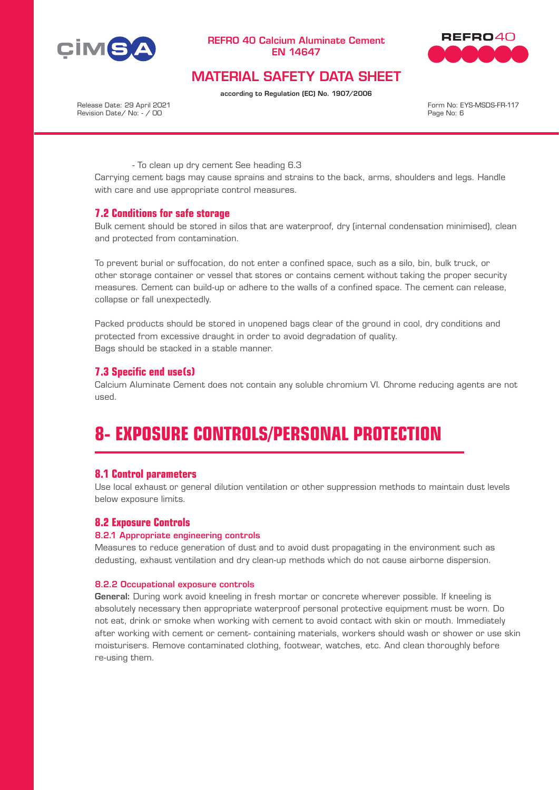



# MATERIAL SAFETY DATA SHEET

according to Regulation (EC) No. 1907/2006

Release Date: 29 April 2021 Revision Date/ No: - / 00

Form No: EYS-MSDS-FR-117 Page No: 6

- To clean up dry cement See heading 6.3

Carrying cement bags may cause sprains and strains to the back, arms, shoulders and legs. Handle with care and use appropriate control measures.

### **7.2 Conditions for safe storage**

Bulk cement should be stored in silos that are waterproof, dry (internal condensation minimised), clean and protected from contamination.

To prevent burial or suffocation, do not enter a confined space, such as a silo, bin, bulk truck, or other storage container or vessel that stores or contains cement without taking the proper security measures. Cement can build-up or adhere to the walls of a confined space. The cement can release, collapse or fall unexpectedly.

Packed products should be stored in unopened bags clear of the ground in cool, dry conditions and protected from excessive draught in order to avoid degradation of quality. Bags should be stacked in a stable manner.

## **7.3 Specific end use(s)**

Calcium Aluminate Cement does not contain any soluble chromium VI. Chrome reducing agents are not used.

# **8- EXPOSURE CONTROLS/PERSONAL PROTECTION**

### **8.1 Control parameters**

Use local exhaust or general dilution ventilation or other suppression methods to maintain dust levels below exposure limits.

### **8.2 Exposure Controls**

#### 8.2.1 Appropriate engineering controls

Measures to reduce generation of dust and to avoid dust propagating in the environment such as dedusting, exhaust ventilation and dry clean-up methods which do not cause airborne dispersion.

#### 8.2.2 Occupational exposure controls

General: During work avoid kneeling in fresh mortar or concrete wherever possible. If kneeling is absolutely necessary then appropriate waterproof personal protective equipment must be worn. Do not eat, drink or smoke when working with cement to avoid contact with skin or mouth. Immediately after working with cement or cement- containing materials, workers should wash or shower or use skin moisturisers. Remove contaminated clothing, footwear, watches, etc. And clean thoroughly before re-using them.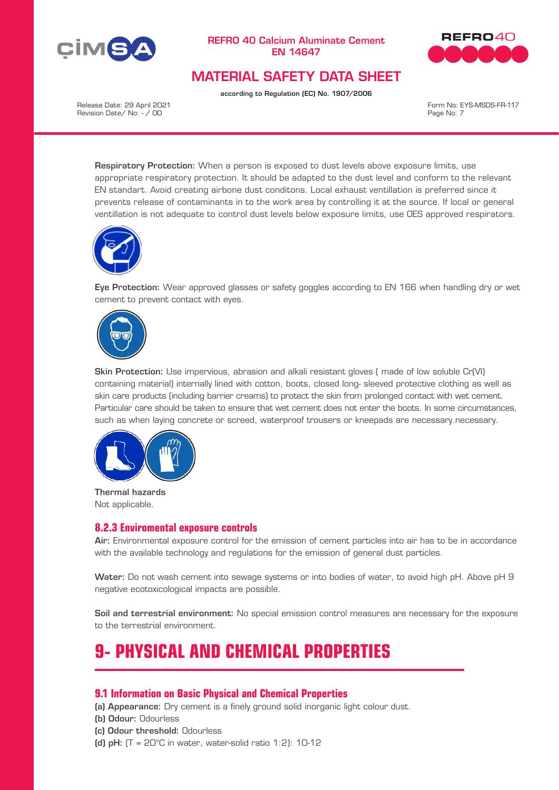



# MATERIAL SAFETY DATA SHEET

according to Regulation (EC) No. 1907/2006

Release Date: 29 April 2021 Revision Date/ No: - / 00

Form No: EYS-MSDS-FR-117 Page No: 7

Respiratory Protection: When a person is exposed to dust levels above exposure limits, use appropriate respiratory protection. It should be adapted to the dust level and conform to the relevant EN standart. Avoid creating airbone dust conditons. Local exhaust ventillation is preferred since it prevents release of contaminants in to the work area by controlling it at the source. If local or general ventillation is not adequate to control dust levels below exposure limits, use OES approved respirators.



Eye Protection: Wear approved glasses or safety goggles according to EN 166 when handling dry or wet cement to prevent contact with eyes.



Skin Protection: Use impervious, abrasion and alkali resistant gloves ( made of low soluble Cr(VI) containing material) internally lined with cotton, boots, closed long- sleeved protective clothing as well as skin care products (including barrier creams) to protect the skin from prolonged contact with wet cement. Particular care should be taken to ensure that wet cement does not enter the boots. In some circumstances, such as when laying concrete or screed, waterproof trousers or kneepads are necessary.necessary.



Thermal hazards Not applicable.

### **8.2.3 Enviromental exposure controls**

Air: Environmental exposure control for the emission of cement particles into air has to be in accordance with the available technology and regulations for the emission of general dust particles.

Water: Do not wash cement into sewage systems or into bodies of water, to avoid high pH. Above pH 9 negative ecotoxicological impacts are possible.

Soil and terrestrial environment: No special emission control measures are necessary for the exposure to the terrestrial environment.

# **9- PHYSICAL AND CHEMICAL PROPERTIES**

# **9.1 Information on Basic Physical and Chemical Properties**

(a) Appearance: Dry cement is a finely ground solid inorganic light colour dust.

- (b) Odour: Odourless
- (c) Odour threshold: Odourless
- (d) pH:  $(T = 20^{\circ}C$  in water, water-solid ratio 1:2): 10-12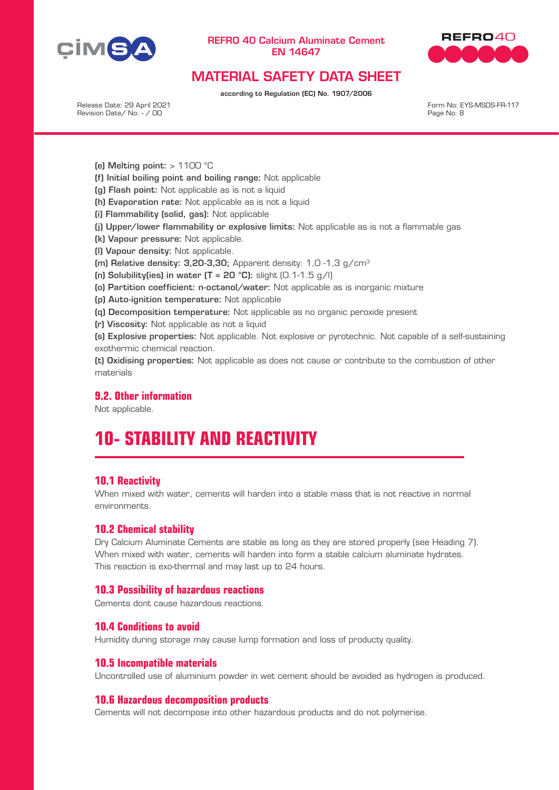



# MATERIAL SAFETY DATA SHEET

according to Regulation (EC) No. 1907/2006

Release Date: 29 April 2021 Revision Date/ No: - / 00

Form No: EYS-MSDS-FR-117 Page No: 8

- (e) Melting point:  $> 1100$  °C
- (f) Initial boiling point and boiling range: Not applicable
- (g) Flash point: Not applicable as is not a liquid
- (h) Evaporation rate: Not applicable as is not a liquid
- (i) Flammability (solid, gas): Not applicable
- (j) Upper/lower flammability or explosive limits: Not applicable as is not a flammable gas
- (k) Vapour pressure: Not applicable.
- (l) Vapour density: Not applicable.
- (m) Relative density:  $3.20-3.30$ : Apparent density:  $1.0 1.3$  g/cm<sup>3</sup>
- (n) Solubility(ies) in water  $(T = 20 °C)$ : slight  $(0.1-1.5 g/l)$
- (o) Partition coefficient: n-octanol/water: Not applicable as is inorganic mixture
- (p) Auto-ignition temperature: Not applicable
- (q) Decomposition temperature: Not applicable as no organic peroxide present
- (r) Viscosity: Not applicable as not a liquid

(s) Explosive properties: Not applicable. Not explosive or pyrotechnic. Not capable of a self-sustaining exothermic chemical reaction.

(t) Oxidising properties: Not applicable as does not cause or contribute to the combustion of other materials

## **9.2. Other information**

Not applicable.

# **10- STABILITY AND REACTIVITY**

#### **10.1 Reactivity**

When mixed with water, cements will harden into a stable mass that is not reactive in normal environments.

### **10.2 Chemical stability**

Dry Calcium Aluminate Cements are stable as long as they are stored properly (see Heading 7). When mixed with water, cements will harden into form a stable calcium aluminate hydrates. This reaction is exo-thermal and may last up to 24 hours.

#### **10.3 Possibility of hazardous reactions**

Cements dont cause hazardous reactions.

#### **10.4 Conditions to avoid**

Humidity during storage may cause lump formation and loss of producty quality.

#### **10.5 Incompatible materials**

Uncontrolled use of aluminium powder in wet cement should be avoided as hydrogen is produced.

#### **10.6 Hazardous decomposition products**

Cements will not decompose into other hazardous products and do not polymerise.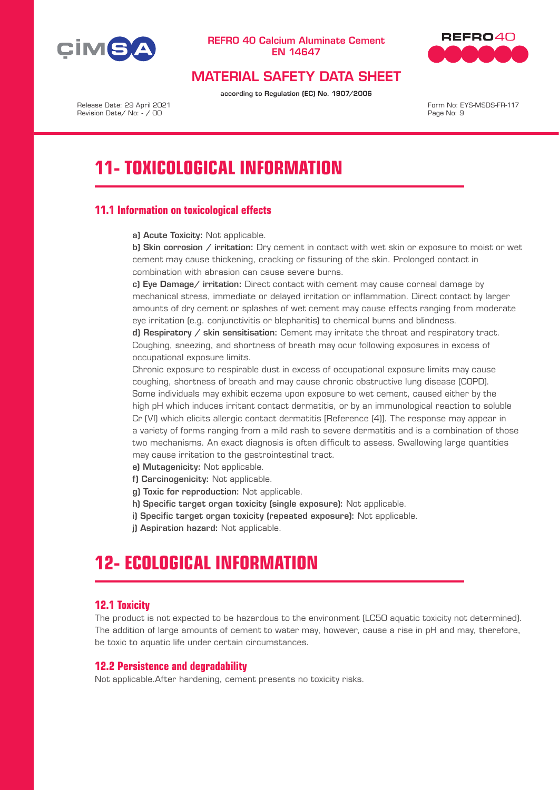



# MATERIAL SAFETY DATA SHEET

according to Regulation (EC) No. 1907/2006

Release Date: 29 April 2021 Revision Date/ No: - / 00

Form No: EYS-MSDS-FR-117 Page No: 9

# **11- TOXICOLOGICAL INFORMATION**

# **11.1 Information on toxicological effects**

a) Acute Toxicity: Not applicable.

b) Skin corrosion  $/$  irritation: Dry cement in contact with wet skin or exposure to moist or wet cement may cause thickening, cracking or fissuring of the skin. Prolonged contact in combination with abrasion can cause severe burns.

c) Eye Damage/ irritation: Direct contact with cement may cause corneal damage by mechanical stress, immediate or delayed irritation or inflammation. Direct contact by larger amounts of dry cement or splashes of wet cement may cause effects ranging from moderate eye irritation (e.g. conjunctivitis or blepharitis) to chemical burns and blindness.

d) Respiratory / skin sensitisation: Cement may irritate the throat and respiratory tract. Coughing, sneezing, and shortness of breath may ocur following exposures in excess of occupational exposure limits.

Chronic exposure to respirable dust in excess of occupational exposure limits may cause coughing, shortness of breath and may cause chronic obstructive lung disease (COPD). Some individuals may exhibit eczema upon exposure to wet cement, caused either by the high pH which induces irritant contact dermatitis, or by an immunological reaction to soluble Cr (VI) which elicits allergic contact dermatitis [Reference (4)]. The response may appear in a variety of forms ranging from a mild rash to severe dermatitis and is a combination of those two mechanisms. An exact diagnosis is often difficult to assess. Swallowing large quantities may cause irritation to the gastrointestinal tract.

- e) Mutagenicity: Not applicable.
- f) Carcinogenicity: Not applicable.
- g) Toxic for reproduction: Not applicable.
- h) Specific target organ toxicity (single exposure): Not applicable.
- i) Specific target organ toxicity (repeated exposure): Not applicable.
- j) Aspiration hazard: Not applicable.

# **12- ECOLOGICAL INFORMATION**

# **12.1 Toxicity**

The product is not expected to be hazardous to the environment (LC50 aquatic toxicity not determined). The addition of large amounts of cement to water may, however, cause a rise in pH and may, therefore, be toxic to aquatic life under certain circumstances.

### **12.2 Persistence and degradability**

Not applicable.After hardening, cement presents no toxicity risks.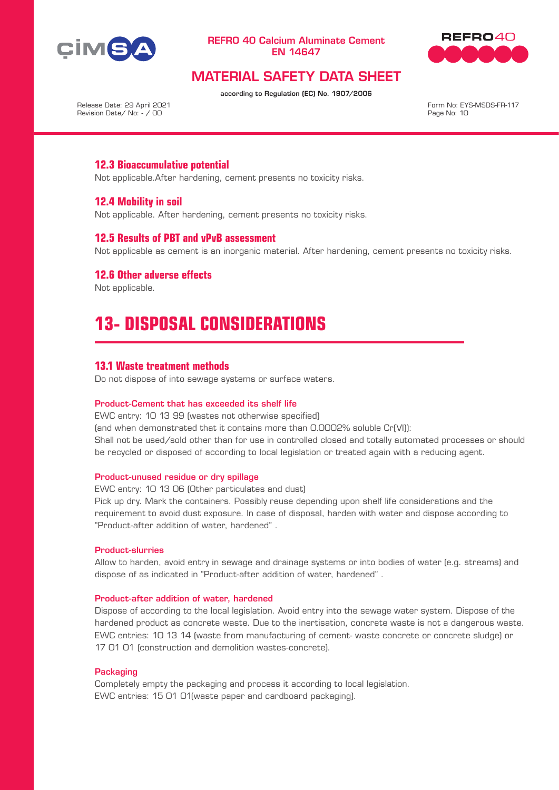



# MATERIAL SAFETY DATA SHEET

according to Regulation (EC) No. 1907/2006

Release Date: 29 April 2021 Revision Date/ No: - / 00

Form No: EYS-MSDS-FR-117 Page No: 10

# **12.3 Bioaccumulative potential**

Not applicable.After hardening, cement presents no toxicity risks.

## **12.4 Mobility in soil**

Not applicable. After hardening, cement presents no toxicity risks.

### **12.5 Results of PBT and vPvB assessment**

Not applicable as cement is an inorganic material. After hardening, cement presents no toxicity risks.

### **12.6 Other adverse effects**

Not applicable.

# **13- DISPOSAL CONSIDERATIONS**

### **13.1 Waste treatment methods**

Do not dispose of into sewage systems or surface waters.

#### Product-Cement that has exceeded its shelf life

EWC entry: 10 13 99 (wastes not otherwise specified) (and when demonstrated that it contains more than 0.0002% soluble Cr(VI)): Shall not be used/sold other than for use in controlled closed and totally automated processes or should be recycled or disposed of according to local legislation or treated again with a reducing agent.

#### Product-unused residue or dry spillage

EWC entry: 10 13 06 (Other particulates and dust)

Pick up dry. Mark the containers. Possibly reuse depending upon shelf life considerations and the requirement to avoid dust exposure. In case of disposal, harden with water and dispose according to "Product-after addition of water, hardened" .

#### Product-slurries

Allow to harden, avoid entry in sewage and drainage systems or into bodies of water (e.g. streams) and dispose of as indicated in "Product-after addition of water, hardened" .

#### Product-after addition of water, hardened

Dispose of according to the local legislation. Avoid entry into the sewage water system. Dispose of the hardened product as concrete waste. Due to the inertisation, concrete waste is not a dangerous waste. EWC entries: 10 13 14 (waste from manufacturing of cement- waste concrete or concrete sludge) or 17 01 01 (construction and demolition wastes-concrete).

#### **Packaging**

Completely empty the packaging and process it according to local legislation. EWC entries: 15 01 01(waste paper and cardboard packaging).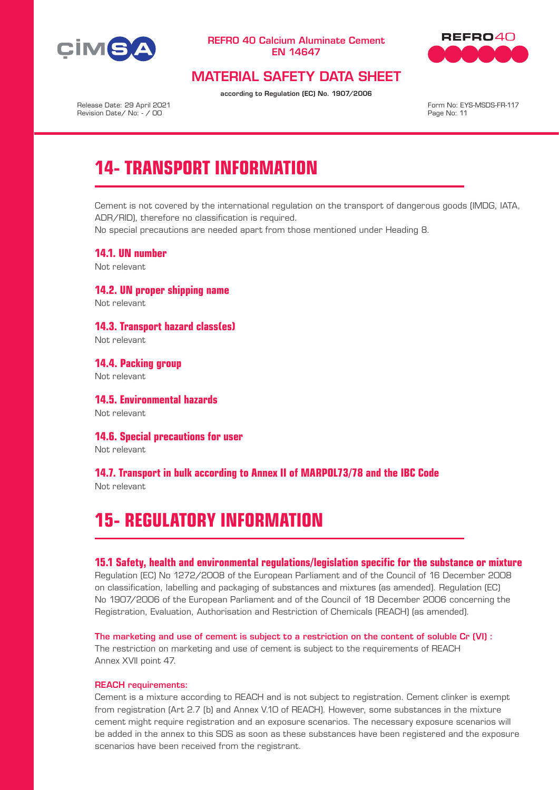



# MATERIAL SAFETY DATA SHEET

according to Regulation (EC) No. 1907/2006

Release Date: 29 April 2021 Revision Date/ No: - / 00

Form No: EYS-MSDS-FR-117 Page No: 11

# **14- TRANSPORT INFORMATION**

Cement is not covered by the international regulation on the transport of dangerous goods (IMDG, IATA, ADR/RID), therefore no classification is required.

No special precautions are needed apart from those mentioned under Heading 8.

**14.1. UN number** Not relevant

**14.2. UN proper shipping name** Not relevant

**14.3. Transport hazard class(es)** Not relevant

**14.4. Packing group** Not relevant

**14.5. Environmental hazards** Not relevant

**14.6. Special precautions for user**

Not relevant

**14.7. Transport in bulk according to Annex II of MARPOL73/78 and the IBC Code** Not relevant

# **15- REGULATORY INFORMATION**

#### **15.1 Safety, health and environmental regulations/legislation specific for the substance or mixture**

Regulation (EC) No 1272/2008 of the European Parliament and of the Council of 16 December 2008 on classification, labelling and packaging of substances and mixtures (as amended). Regulation (EC) No 1907/2006 of the European Parliament and of the Council of 18 December 2006 concerning the Registration, Evaluation, Authorisation and Restriction of Chemicals (REACH) (as amended).

The marketing and use of cement is subject to a restriction on the content of soluble Cr (VI) : The restriction on marketing and use of cement is subject to the requirements of REACH Annex XVII point 47.

#### REACH requirements:

Cement is a mixture according to REACH and is not subject to registration. Cement clinker is exempt from registration (Art 2.7 (b) and Annex V.10 of REACH). However, some substances in the mixture cement might require registration and an exposure scenarios. The necessary exposure scenarios will be added in the annex to this SDS as soon as these substances have been registered and the exposure scenarios have been received from the registrant.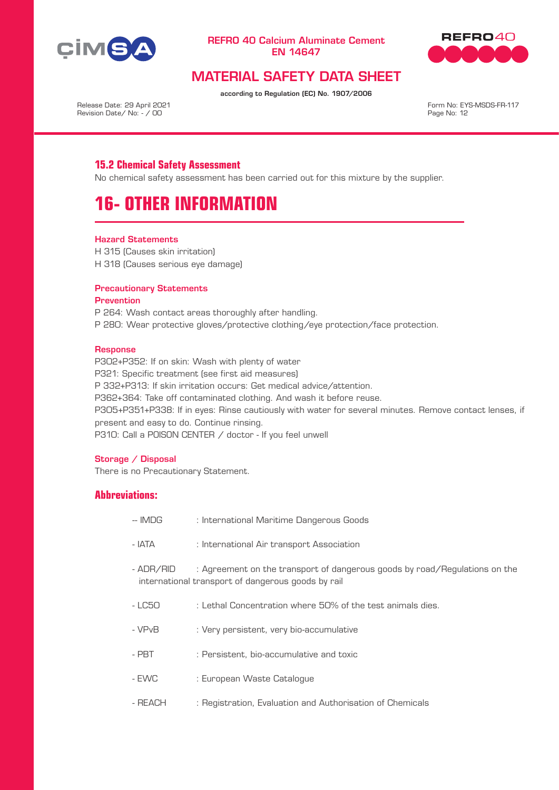



# MATERIAL SAFETY DATA SHEET

according to Regulation (EC) No. 1907/2006

Release Date: 29 April 2021 Revision Date/ No: - / 00

Form No: EYS-MSDS-FR-117 Page No: 12

# **15.2 Chemical Safety Assessment**

No chemical safety assessment has been carried out for this mixture by the supplier.

# **16- OTHER INFORMATION**

#### Hazard Statements

H 315 (Causes skin irritation) H 318 (Causes serious eye damage)

#### Precautionary Statements

#### **Prevention**

P 264: Wash contact areas thoroughly after handling. P 280: Wear protective gloves/protective clothing/eye protection/face protection.

#### **Response**

P302+P352: If on skin: Wash with plenty of water P321: Specific treatment (see first aid measures) P 332+P313: If skin irritation occurs: Get medical advice/attention. P362+364: Take off contaminated clothing. And wash it before reuse. P305+P351+P338: If in eyes: Rinse cautiously with water for several minutes. Remove contact lenses, if present and easy to do. Continue rinsing. P310: Call a POISON CENTER / doctor - If you feel unwell

#### Storage / Disposal

There is no Precautionary Statement.

## **Abbreviations:**

- -- IMDG : International Maritime Dangerous Goods
- IATA : International Air transport Association
- ADR/RID : Agreement on the transport of dangerous goods by road/Regulations on the international transport of dangerous goods by rail
- LC50 : Lethal Concentration where 50% of the test animals dies.
- VPvB : Very persistent, very bio-accumulative
- PBT : Persistent, bio-accumulative and toxic
- EWC : European Waste Catalogue
- REACH : Registration, Evaluation and Authorisation of Chemicals